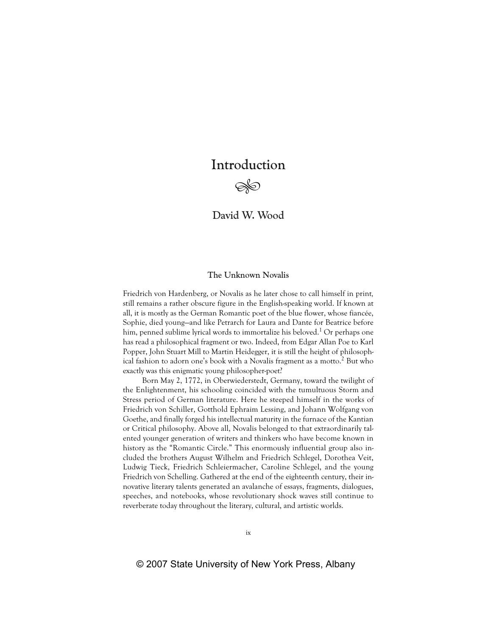# Introduction



# David W. Wood

## The Unknown Novalis

Friedrich von Hardenberg, or Novalis as he later chose to call himself in print*,* still remains a rather obscure figure in the English-speaking world. If known at all, it is mostly as the German Romantic poet of the blue flower, whose fiancée, Sophie, died young—and like Petrarch for Laura and Dante for Beatrice before him, penned sublime lyrical words to immortalize his beloved.<sup>1</sup> Or perhaps one has read a philosophical fragment or two. Indeed, from Edgar Allan Poe to Karl Popper, John Stuart Mill to Martin Heidegger, it is still the height of philosophical fashion to adorn one's book with a Novalis fragment as a motto.<sup>2</sup> But who exactly was this enigmatic young philosopher-poet?

Born May 2, 1772, in Oberwiederstedt, Germany, toward the twilight of the Enlightenment, his schooling coincided with the tumultuous Storm and Stress period of German literature. Here he steeped himself in the works of Friedrich von Schiller, Gotthold Ephraim Lessing, and Johann Wolfgang von Goethe, and finally forged his intellectual maturity in the furnace of the Kantian or Critical philosophy. Above all, Novalis belonged to that extraordinarily talented younger generation of writers and thinkers who have become known in history as the "Romantic Circle." This enormously influential group also included the brothers August Wilhelm and Friedrich Schlegel, Dorothea Veit, Ludwig Tieck, Friedrich Schleiermacher, Caroline Schlegel, and the young Friedrich von Schelling. Gathered at the end of the eighteenth century, their innovative literary talents generated an avalanche of essays, fragments, dialogues, speeches, and notebooks, whose revolutionary shock waves still continue to reverberate today throughout the literary, cultural, and artistic worlds.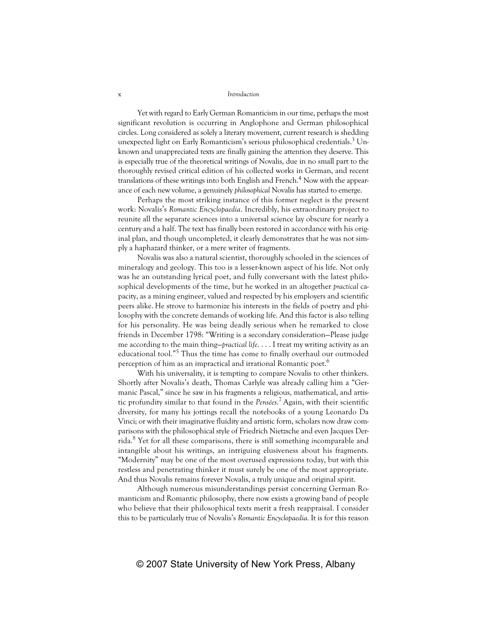#### x *Introduction*

Yet with regard to Early German Romanticism in our time, perhaps the most significant revolution is occurring in Anglophone and German philosophical circles. Long considered as solely a literary movement, current research is shedding unexpected light on Early Romanticism's serious philosophical credentials.<sup>3</sup> Unknown and unappreciated texts are finally gaining the attention they deserve. This is especially true of the theoretical writings of Novalis, due in no small part to the thoroughly revised critical edition of his collected works in German, and recent translations of these writings into both English and French.<sup>4</sup> Now with the appearance of each new volume, a genuinely *philosophical* Novalis has started to emerge.

Perhaps the most striking instance of this former neglect is the present work: Novalis's *Romantic Encyclopaedia*. Incredibly, his extraordinary project to reunite all the separate sciences into a universal science lay obscure for nearly a century and a half. The text has finally been restored in accordance with his original plan, and though uncompleted, it clearly demonstrates that he was not simply a haphazard thinker, or a mere writer of fragments.

Novalis was also a natural scientist, thoroughly schooled in the sciences of mineralogy and geology. This too is a lesser-known aspect of his life. Not only was he an outstanding lyrical poet, and fully conversant with the latest philosophical developments of the time, but he worked in an altogether *practical* capacity, as a mining engineer, valued and respected by his employers and scientific peers alike. He strove to harmonize his interests in the fields of poetry and philosophy with the concrete demands of working life. And this factor is also telling for his personality. He was being deadly serious when he remarked to close friends in December 1798: "Writing is a secondary consideration—Please judge me according to the main thing—*practical life*. . . . I treat my writing activity as an educational tool."<sup>5</sup> Thus the time has come to finally overhaul our outmoded perception of him as an impractical and irrational Romantic poet.6

With his universality, it is tempting to compare Novalis to other thinkers. Shortly after Novalis's death, Thomas Carlyle was already calling him a "Germanic Pascal," since he saw in his fragments a religious, mathematical, and artistic profundity similar to that found in the *Pensées*. <sup>7</sup> Again, with their scientific diversity, for many his jottings recall the notebooks of a young Leonardo Da Vinci; or with their imaginative fluidity and artistic form, scholars now draw comparisons with the philosophical style of Friedrich Nietzsche and even Jacques Derrida.<sup>8</sup> Yet for all these comparisons, there is still something *in*comparable and intangible about his writings, an intriguing elusiveness about his fragments. "Modernity" may be one of the most overused expressions today, but with this restless and penetrating thinker it must surely be one of the most appropriate. And thus Novalis remains forever Novalis, a truly unique and original spirit.

Although numerous misunderstandings persist concerning German Romanticism and Romantic philosophy, there now exists a growing band of people who believe that their philosophical texts merit a fresh reappraisal. I consider this to be particularly true of Novalis's *Romantic Encyclopaedia.* It is for this reason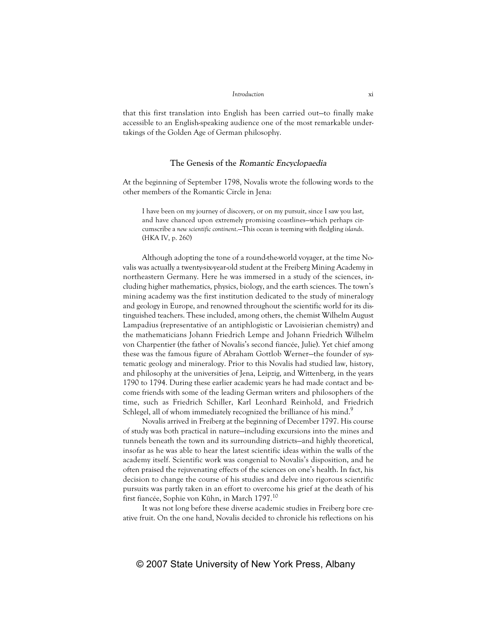#### *Introduction* xi

that this first translation into English has been carried out—to finally make accessible to an English-speaking audience one of the most remarkable undertakings of the Golden Age of German philosophy.

# The Genesis of the Romantic Encyclopaedia

At the beginning of September 1798, Novalis wrote the following words to the other members of the Romantic Circle in Jena:

I have been on my journey of discovery, or on my pursuit, since I saw you last, and have chanced upon extremely promising coastlines—which perhaps circumscribe a *new scientific continent*.—This ocean is teeming with fledgling *islands*. (HKA IV, p. 260)

Although adopting the tone of a round-the-world voyager, at the time Novalis was actually a twenty-six-year-old student at the Freiberg Mining Academy in northeastern Germany. Here he was immersed in a study of the sciences, including higher mathematics, physics, biology, and the earth sciences. The town's mining academy was the first institution dedicated to the study of mineralogy and geology in Europe, and renowned throughout the scientific world for its distinguished teachers. These included, among others, the chemist Wilhelm August Lampadius (representative of an antiphlogistic or Lavoisierian chemistry) and the mathematicians Johann Friedrich Lempe and Johann Friedrich Wilhelm von Charpentier (the father of Novalis's second fiancée, Julie). Yet chief among these was the famous figure of Abraham Gottlob Werner—the founder of systematic geology and mineralogy. Prior to this Novalis had studied law, history, and philosophy at the universities of Jena, Leipzig, and Wittenberg, in the years 1790 to 1794. During these earlier academic years he had made contact and become friends with some of the leading German writers and philosophers of the time, such as Friedrich Schiller, Karl Leonhard Reinhold, and Friedrich Schlegel, all of whom immediately recognized the brilliance of his mind.<sup>9</sup>

Novalis arrived in Freiberg at the beginning of December 1797. His course of study was both practical in nature—including excursions into the mines and tunnels beneath the town and its surrounding districts—and highly theoretical, insofar as he was able to hear the latest scientific ideas within the walls of the academy itself. Scientific work was congenial to Novalis's disposition, and he often praised the rejuvenating effects of the sciences on one's health. In fact, his decision to change the course of his studies and delve into rigorous scientific pursuits was partly taken in an effort to overcome his grief at the death of his first fiancée, Sophie von Kühn, in March 1797.<sup>10</sup>

It was not long before these diverse academic studies in Freiberg bore creative fruit. On the one hand, Novalis decided to chronicle his reflections on his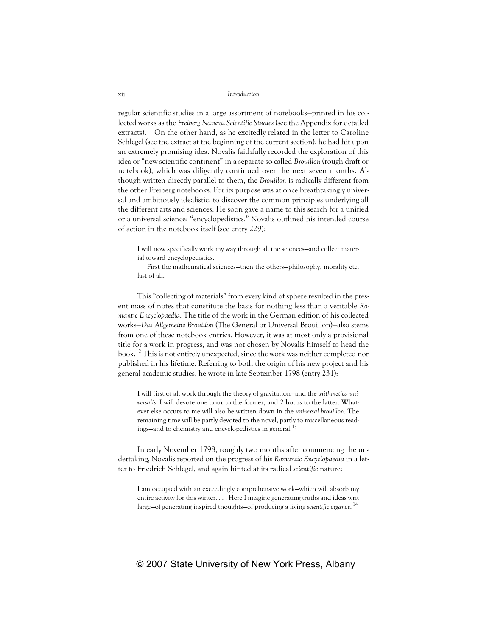regular scientific studies in a large assortment of notebooks—printed in his collected works as the *Freiberg Natural Scientific Studies* (see the Appendix for detailed extracts).<sup>11</sup> On the other hand, as he excitedly related in the letter to Caroline Schlegel (see the extract at the beginning of the current section), he had hit upon an extremely promising idea. Novalis faithfully recorded the exploration of this idea or "new scientific continent" in a separate so-called *Brouillon* (rough draft or notebook), which was diligently continued over the next seven months. Although written directly parallel to them, the *Brouillon* is radically different from the other Freiberg notebooks. For its purpose was at once breathtakingly universal and ambitiously idealistic: to discover the common principles underlying all the different arts and sciences. He soon gave a name to this search for a unified or a universal science: "encyclopedistics*.*" Novalis outlined his intended course of action in the notebook itself (see entry 229):

I will now specifically work my way through all the sciences—and collect material toward encyclopedistics.

First the mathematical sciences—then the others—philosophy, morality etc. last of all.

This "collecting of materials" from every kind of sphere resulted in the present mass of notes that constitute the basis for nothing less than a veritable *Romantic Encyclopaedia*. The title of the work in the German edition of his collected works—*Das Allgemeine Brouillon* (The General or Universal Brouillon)—also stems from one of these notebook entries. However, it was at most only a provisional title for a work in progress, and was not chosen by Novalis himself to head the book.12 This is not entirely unexpected, since the work was neither completed nor published in his lifetime. Referring to both the origin of his new project and his general academic studies, he wrote in late September 1798 (entry 231):

I will first of all work through the theory of gravitation—and the *arithmetica universalis*. I will devote one hour to the former, and 2 hours to the latter. Whatever else occurs to me will also be written down in the *universal brouillon*. The remaining time will be partly devoted to the novel, partly to miscellaneous readings—and to chemistry and encyclopedistics in general.<sup>13</sup>

In early November 1798, roughly two months after commencing the undertaking, Novalis reported on the progress of his *Romantic Encyclopaedia* in a letter to Friedrich Schlegel, and again hinted at its radical *scientific* nature:

I am occupied with an exceedingly comprehensive work—which will absorb my entire activity for this winter. . . . Here I imagine generating truths and ideas writ large—of generating inspired thoughts—of producing a living *scientific organon*. 14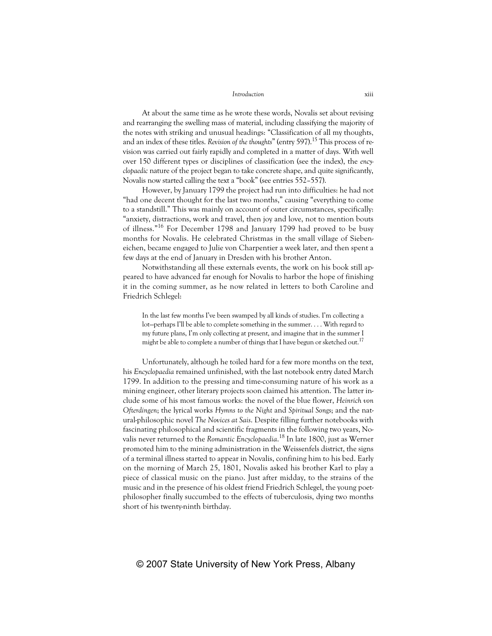#### *Introduction* xiii

At about the same time as he wrote these words, Novalis set about revising and rearranging the swelling mass of material, including classifying the majority of the notes with striking and unusual headings: "Classification of all my thoughts, and an index of these titles. *Revision of the thoughts*" (entry 597).<sup>15</sup> This process of revision was carried out fairly rapidly and completed in a matter of days. With well over 150 different types or disciplines of classification (see the index), the *encyclopaedic* nature of the project began to take concrete shape, and quite significantly, Novalis now started calling the text a "book" (see entries 552–557).

However, by January 1799 the project had run into difficulties: he had not "had one decent thought for the last two months," causing "everything to come to a standstill." This was mainly on account of outer circumstances, specifically: "anxiety, distractions, work and travel, then joy and love, not to mention bouts of illness."<sup>16</sup> For December 1798 and January 1799 had proved to be busy months for Novalis. He celebrated Christmas in the small village of Siebeneichen, became engaged to Julie von Charpentier a week later, and then spent a few days at the end of January in Dresden with his brother Anton.

Notwithstanding all these externals events, the work on his book still appeared to have advanced far enough for Novalis to harbor the hope of finishing it in the coming summer, as he now related in letters to both Caroline and Friedrich Schlegel:

In the last few months I've been swamped by all kinds of studies. I'm collecting a lot—perhaps I'll be able to complete something in the summer. . . . With regard to my future plans, I'm only collecting at present, and imagine that in the summer I might be able to complete a number of things that I have begun or sketched out.<sup>17</sup>

Unfortunately, although he toiled hard for a few more months on the text, his *Encyclopaedia* remained unfinished, with the last notebook entry dated March 1799. In addition to the pressing and time-consuming nature of his work as a mining engineer, other literary projects soon claimed his attention. The latter include some of his most famous works: the novel of the blue flower, *Heinrich von Ofterdingen*; the lyrical works *Hymns to the Night* and *Spiritual Songs*; and the natural-philosophic novel *The Novices at Sais*. Despite filling further notebooks with fascinating philosophical and scientific fragments in the following two years, Novalis never returned to the *Romantic Encyclopaedia*. <sup>18</sup> In late 1800, just as Werner promoted him to the mining administration in the Weissenfels district, the signs of a terminal illness started to appear in Novalis, confining him to his bed. Early on the morning of March 25, 1801, Novalis asked his brother Karl to play a piece of classical music on the piano. Just after midday, to the strains of the music and in the presence of his oldest friend Friedrich Schlegel, the young poetphilosopher finally succumbed to the effects of tuberculosis, dying two months short of his twenty-ninth birthday.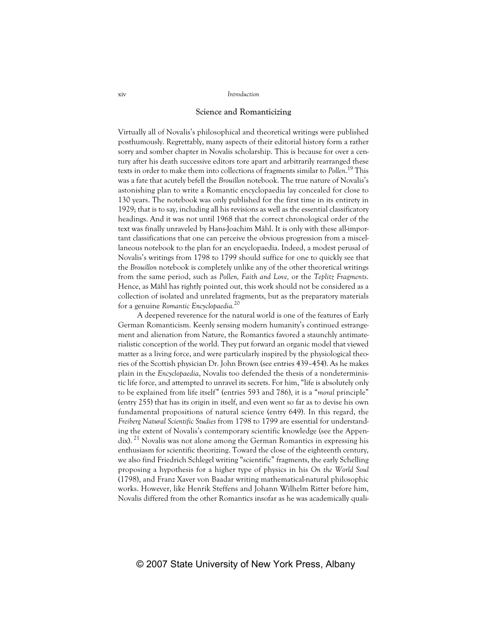# Science and Romanticizing

Virtually all of Novalis's philosophical and theoretical writings were published posthumously. Regrettably, many aspects of their editorial history form a rather sorry and somber chapter in Novalis scholarship. This is because for over a century after his death successive editors tore apart and arbitrarily rearranged these texts in order to make them into collections of fragments similar to *Pollen*. <sup>19</sup> This was a fate that acutely befell the *Brouillon* notebook. The true nature of Novalis's astonishing plan to write a Romantic encyclopaedia lay concealed for close to 130 years. The notebook was only published for the first time in its entirety in 1929; that is to say, including all his revisions as well as the essential classificatory headings. And it was not until 1968 that the correct chronological order of the text was finally unraveled by Hans-Joachim Mähl. It is only with these all-important classifications that one can perceive the obvious progression from a miscellaneous notebook to the plan for an encyclopaedia. Indeed, a modest perusal of Novalis's writings from 1798 to 1799 should suffice for one to quickly see that the *Brouillon* notebook is completely unlike any of the other theoretical writings from the same period, such as *Pollen, Faith and Love,* or the *Teplitz Fragments*. Hence, as Mähl has rightly pointed out, this work should not be considered as a collection of isolated and unrelated fragments, but as the preparatory materials for a genuine *Romantic Encyclopaedia.*<sup>20</sup>

A deepened reverence for the natural world is one of the features of Early German Romanticism. Keenly sensing modern humanity's continued estrangement and alienation from Nature, the Romantics favored a staunchly antimaterialistic conception of the world. They put forward an organic model that viewed matter as a living force, and were particularly inspired by the physiological theories of the Scottish physician Dr. John Brown (see entries 439–454). As he makes plain in the *Encyclopaedia*, Novalis too defended the thesis of a nondeterministic life force, and attempted to unravel its secrets. For him, "life is absolutely only to be explained from life itself" (entries 593 and 786), it is a "*moral* principle" (entry 255) that has its origin in itself, and even went so far as to devise his own fundamental propositions of natural science (entry 649). In this regard, the *Freiberg Natural Scientific Studies* from 1798 to 1799 are essential for understanding the extent of Novalis's contemporary scientific knowledge (see the Appendix). <sup>21</sup> Novalis was not alone among the German Romantics in expressing his enthusiasm for scientific theorizing. Toward the close of the eighteenth century, we also find Friedrich Schlegel writing "scientific" fragments, the early Schelling proposing a hypothesis for a higher type of physics in his *On the World Soul* (1798), and Franz Xaver von Baadar writing mathematical-natural philosophic works. However, like Henrik Steffens and Johann Wilhelm Ritter before him, Novalis differed from the other Romantics insofar as he was academically quali-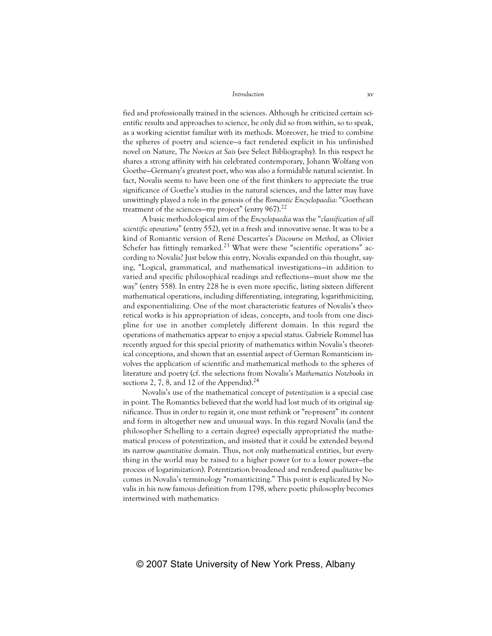#### *Introduction* xv

fied and professionally trained in the sciences. Although he criticized certain scientific results and approaches to science, he only did so from within, so to speak, as a working scientist familiar with its methods. Moreover, he tried to combine the spheres of poetry and science—a fact rendered explicit in his unfinished novel on Nature, *The Novices at Sais* (see Select Bibliography). In this respect he shares a strong affinity with his celebrated contemporary, Johann Wolfang von Goethe—Germany's greatest poet, who was also a formidable natural scientist. In fact, Novalis seems to have been one of the first thinkers to appreciate the true significance of Goethe's studies in the natural sciences, and the latter may have unwittingly played a role in the genesis of the *Romantic Encyclopaedia*: "Goethean treatment of the sciences—my project" (entry  $967$ ).<sup>22</sup>

A basic methodological aim of the *Encyclopaedia* was the "*classification of all scientific operations*" (entry 552), yet in a fresh and innovative sense. It was to be a kind of Romantic version of René Descartes's *Discourse on Method*, as Olivier Schefer has fittingly remarked.<sup>23</sup> What were these "scientific operations" according to Novalis? Just below this entry, Novalis expanded on this thought, saying, "Logical, grammatical, and mathematical investigations—in addition to varied and specific philosophical readings and reflections—must show me the way" (entry 558). In entry 228 he is even more specific, listing sixteen different mathematical operations, including differentiating, integrating, logarithmicizing, and exponentializing. One of the most characteristic features of Novalis's theoretical works is his appropriation of ideas, concepts, and tools from one discipline for use in another completely different domain. In this regard the operations of mathematics appear to enjoy a special status. Gabriele Rommel has recently argued for this special priority of mathematics within Novalis's theoretical conceptions, and shown that an essential aspect of German Romanticism involves the application of scientific and mathematical methods to the spheres of literature and poetry (cf. the selections from Novalis's *Mathematics Notebooks* in sections 2, 7, 8, and 12 of the Appendix).<sup>24</sup>

Novalis's use of the mathematical concept of *potentization* is a special case in point. The Romantics believed that the world had lost much of its original significance. Thus in order to regain it, one must rethink or "re-present" its content and form in altogether new and unusual ways. In this regard Novalis (and the philosopher Schelling to a certain degree) especially appropriated the mathematical process of potentization, and insisted that it could be extended beyond its narrow *quantitative* domain. Thus, not only mathematical entities, but everything in the world may be raised to a higher power (or to a lower power—the process of logarimization). Potentization broadened and rendered *qualitative* becomes in Novalis's terminology "romanticizing." This point is explicated by Novalis in his now famous definition from 1798, where poetic philosophy becomes intertwined with mathematics: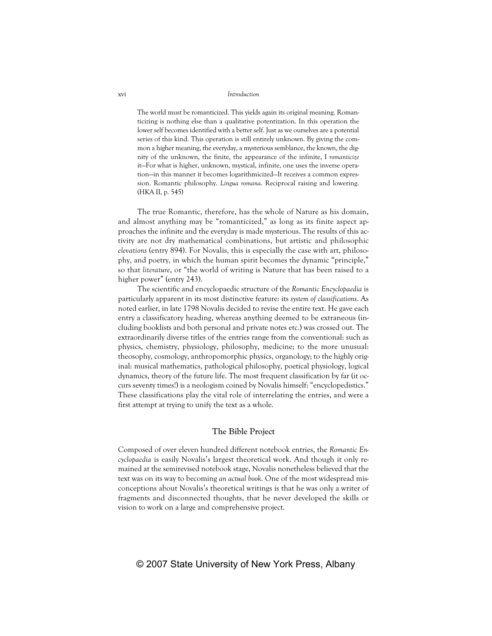#### xvi *Introduction*

The world must be romanticized. This yields again its original meaning. Romanticizing is nothing else than a qualitative potentization. In this operation the lower self becomes identified with a better self. Just as we ourselves are a potential series of this kind. This operation is still entirely unknown. By giving the common a higher meaning, the everyday, a mysterious semblance, the known, the dignity of the unknown, the finite, the appearance of the infinite, I *romanticize* it—For what is higher, unknown, mystical, infinite, one uses the inverse operation—in this manner it becomes logarithmicized—It receives a common expression. Romantic philosophy. *Lingua romana*. Reciprocal raising and lowering. (HKA II, p. 545)

The true Romantic, therefore, has the whole of Nature as his domain, and almost anything may be "romanticized," as long as its finite aspect approaches the infinite and the everyday is made mysterious. The results of this activity are not dry mathematical combinations, but artistic and philosophic *elevations* (entry 894). For Novalis, this is especially the case with art, philosophy, and poetry, in which the human spirit becomes the dynamic "principle," so that *literature*, or "the world of writing is Nature that has been raised to a higher power" (entry 243).

The scientific and encyclopaedic structure of the *Romantic Encyclopaedia* is particularly apparent in its most distinctive feature: its *system of classifications*. As noted earlier, in late 1798 Novalis decided to revise the entire text. He gave each entry a classificatory heading, whereas anything deemed to be extraneous (including booklists and both personal and private notes etc.) was crossed out. The extraordinarily diverse titles of the entries range from the conventional: such as physics, chemistry, physiology, philosophy, medicine; to the more unusual: theosophy, cosmology, anthropomorphic physics, organology; to the highly original: musical mathematics, pathological philosophy, poetical physiology, logical dynamics, theory of the future life. The most frequent classification by far (it occurs seventy times!) is a neologism coined by Novalis himself: "encyclopedistics." These classifications play the vital role of interrelating the entries, and were a first attempt at trying to unify the text as a whole.

# The Bible Project

Composed of over eleven hundred different notebook entries, the *Romantic Encyclopaedia* is easily Novalis's largest theoretical work. And though it only remained at the semirevised notebook stage, Novalis nonetheless believed that the text was on its way to becoming *an actual book*. One of the most widespread misconceptions about Novalis's theoretical writings is that he was only a writer of fragments and disconnected thoughts, that he never developed the skills or vision to work on a large and comprehensive project.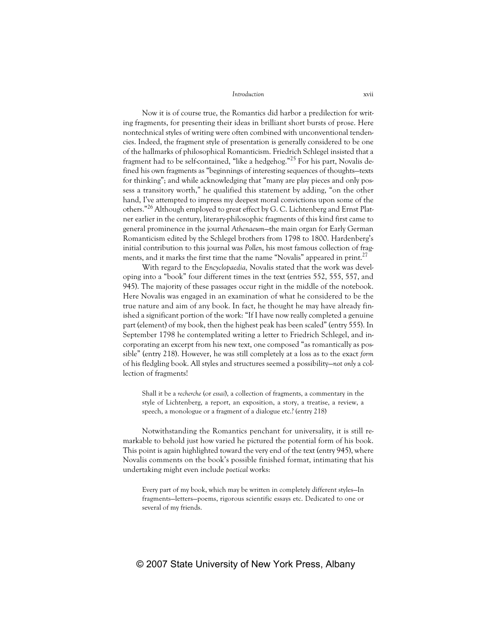#### *Introduction* xvii

Now it is of course true, the Romantics did harbor a predilection for writing fragments, for presenting their ideas in brilliant short bursts of prose. Here nontechnical styles of writing were often combined with unconventional tendencies. Indeed, the fragment style of presentation is generally considered to be one of the hallmarks of philosophical Romanticism. Friedrich Schlegel insisted that a fragment had to be self-contained, "like a hedgehog."<sup>25</sup> For his part, Novalis defined his own fragments as "beginnings of interesting sequences of thoughts—texts for thinking"; and while acknowledging that "many are play pieces and only possess a transitory worth," he qualified this statement by adding, "on the other hand, I've attempted to impress my deepest moral convictions upon some of the others."<sup>26</sup> Although employed to great effect by G. C. Lichtenberg and Ernst Platner earlier in the century, literary-philosophic fragments of this kind first came to general prominence in the journal *Athenaeum*—the main organ for Early German Romanticism edited by the Schlegel brothers from 1798 to 1800. Hardenberg's initial contribution to this journal was *Pollen*, his most famous collection of fragments, and it marks the first time that the name "Novalis" appeared in print.<sup>27</sup>

With regard to the *Encyclopaedia,* Novalis stated that the work was developing into a "book" four different times in the text (entries 552, 555, 557, and 945). The majority of these passages occur right in the middle of the notebook. Here Novalis was engaged in an examination of what he considered to be the true nature and aim of any book. In fact, he thought he may have already finished a significant portion of the work: "If I have now really completed a genuine part (element) of my book, then the highest peak has been scaled" (entry 555). In September 1798 he contemplated writing a letter to Friedrich Schlegel, and incorporating an excerpt from his new text, one composed "as romantically as possible" (entry 218). However, he was still completely at a loss as to the exact *form* of his fledgling book. All styles and structures seemed a possibility—*not only* a collection of fragments!

Shall it be a *recherche* (or *essai*), a collection of fragments, a commentary in the style of Lichtenberg, a report, an exposition, a story, a treatise, a review, a speech, a monologue or a fragment of a dialogue etc.? (entry 218)

Notwithstanding the Romantics penchant for universality, it is still remarkable to behold just how varied he pictured the potential form of his book. This point is again highlighted toward the very end of the text (entry 945), where Novalis comments on the book's possible finished format, intimating that his undertaking might even include *poetical* works:

Every part of my book, which may be written in completely different styles—In fragments—letters—poems, rigorous scientific essays etc. Dedicated to one or several of my friends.

# © 2007 State University of New York Press, Albany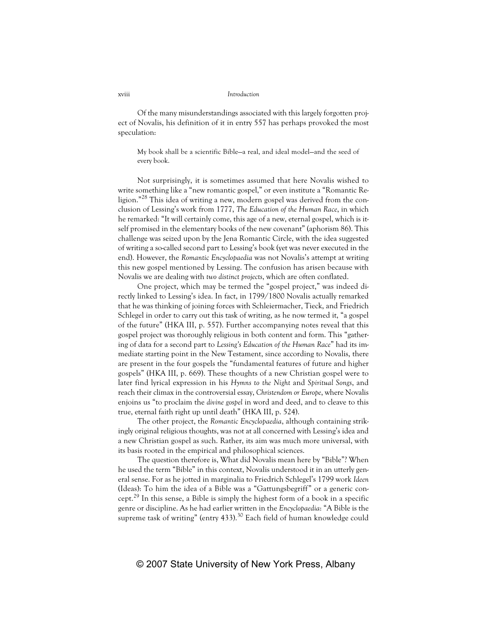#### xviii *Introduction*

Of the many misunderstandings associated with this largely forgotten project of Novalis, his definition of it in entry 557 has perhaps provoked the most speculation:

My book shall be a scientific Bible—a real, and ideal model—and the seed of every book.

Not surprisingly, it is sometimes assumed that here Novalis wished to write something like a "new romantic gospel," or even institute a "Romantic Religion."<sup>28</sup> This idea of writing a new, modern gospel was derived from the conclusion of Lessing's work from 1777, *The Education of the Human Race*, in which he remarked: "It will certainly come, this age of a new, eternal gospel, which is itself promised in the elementary books of the new covenant" (aphorism 86). This challenge was seized upon by the Jena Romantic Circle, with the idea suggested of writing a so-called second part to Lessing's book (yet was never executed in the end). However, the *Romantic Encyclopaedia* was not Novalis's attempt at writing this new gospel mentioned by Lessing. The confusion has arisen because with Novalis we are dealing with *two distinct projects*, which are often conflated.

One project, which may be termed the "gospel project," was indeed directly linked to Lessing's idea. In fact, in 1799/1800 Novalis actually remarked that he was thinking of joining forces with Schleiermacher, Tieck, and Friedrich Schlegel in order to carry out this task of writing, as he now termed it, "a gospel of the future" (HKA III, p. 557). Further accompanying notes reveal that this gospel project was thoroughly religious in both content and form. This "gathering of data for a second part to *Lessing's Education of the Human Race*" had its immediate starting point in the New Testament, since according to Novalis, there are present in the four gospels the "fundamental features of future and higher gospels" (HKA III, p. 669). These thoughts of a new Christian gospel were to later find lyrical expression in his *Hymns to the Night* and *Spiritual Songs*, and reach their climax in the controversial essay, *Christendom or Europe*, where Novalis enjoins us "to proclaim the *divine gospel* in word and deed, and to cleave to this true, eternal faith right up until death" (HKA III, p. 524).

The other project, the *Romantic Encyclopaedia*, although containing strikingly original religious thoughts, was not at all concerned with Lessing's idea and a new Christian gospel as such. Rather, its aim was much more universal, with its basis rooted in the empirical and philosophical sciences.

The question therefore is, What did Novalis mean here by "Bible"? When he used the term "Bible" in this context, Novalis understood it in an utterly general sense. For as he jotted in marginalia to Friedrich Schlegel's 1799 work *Ideen* (Ideas): To him the idea of a Bible was a "Gattungsbegriff" or a generic concept.<sup>29</sup> In this sense, a Bible is simply the highest form of a book in a specific genre or discipline. As he had earlier written in the *Encyclopaedia*: "A Bible is the supreme task of writing" (entry 433).<sup>30</sup> Each field of human knowledge could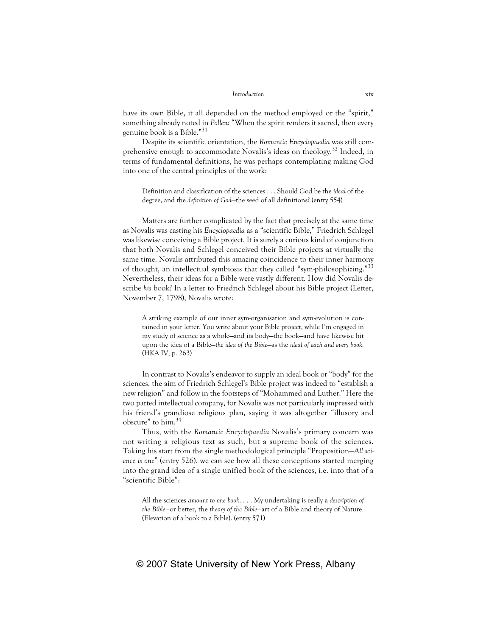have its own Bible, it all depended on the method employed or the "spirit," something already noted in *Pollen*: "When the spirit renders it sacred, then every genuine book is a Bible."<sup>31</sup>

Despite its scientific orientation, the *Romantic Encyclopaedia* was still comprehensive enough to accommodate Novalis's ideas on theology.<sup>32</sup> Indeed, in terms of fundamental definitions, he was perhaps contemplating making God into one of the central principles of the work:

Definition and classification of the sciences . . . Should God be the *ideal* of the degree, and the *definition of God*—the seed of all definitions? (entry 554)

Matters are further complicated by the fact that precisely at the same time as Novalis was casting his *Encyclopaedia* as a "scientific Bible," Friedrich Schlegel was likewise conceiving a Bible project. It is surely a curious kind of conjunction that both Novalis and Schlegel conceived their Bible projects at virtually the same time. Novalis attributed this amazing coincidence to their inner harmony of thought, an intellectual symbiosis that they called "sym-philosophizing."<sup>33</sup> Nevertheless, their ideas for a Bible were vastly different. How did Novalis describe *his* book? In a letter to Friedrich Schlegel about his Bible project (Letter, November 7, 1798), Novalis wrote:

A striking example of our inner sym-organisation and sym-evolution is contained in your letter. You write about your Bible project, while I'm engaged in my study of science as a whole—and its body—the book—and have likewise hit upon the idea of a Bible—*the idea of the Bible*—as the *ideal of each and every book.* (HKA IV, p. 263)

In contrast to Novalis's endeavor to supply an ideal book or "body" for the sciences, the aim of Friedrich Schlegel's Bible project was indeed to "establish a new religion" and follow in the footsteps of "Mohammed and Luther." Here the two parted intellectual company, for Novalis was not particularly impressed with his friend's grandiose religious plan, saying it was altogether "illusory and obscure" to him.34

Thus, with the *Romantic Encyclopaedia* Novalis's primary concern was not writing a religious text as such, but a supreme book of the sciences. Taking his start from the single methodological principle "Proposition—*All science is one*" (entry 526), we can see how all these conceptions started merging into the grand idea of a single unified book of the sciences, i.e. into that of a "scientific Bible":

All the sciences *amount to one book*. . . . My undertaking is really a *description of the Bible*—or better, the *theory of the Bible*—art of a Bible and theory of Nature. (Elevation of a book to a Bible). (entry 571)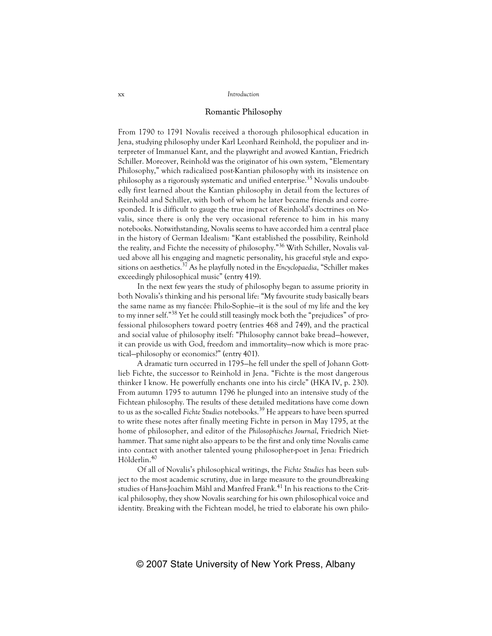#### xx *Introduction*

# Romantic Philosophy

From 1790 to 1791 Novalis received a thorough philosophical education in Jena, studying philosophy under Karl Leonhard Reinhold, the populizer and interpreter of Immanuel Kant, and the playwright and avowed Kantian, Friedrich Schiller. Moreover, Reinhold was the originator of his own system, "Elementary Philosophy," which radicalized post-Kantian philosophy with its insistence on philosophy as a rigorously systematic and unified enterprise.<sup>35</sup> Novalis undoubtedly first learned about the Kantian philosophy in detail from the lectures of Reinhold and Schiller, with both of whom he later became friends and corresponded. It is difficult to gauge the true impact of Reinhold's doctrines on Novalis, since there is only the very occasional reference to him in his many notebooks. Notwithstanding, Novalis seems to have accorded him a central place in the history of German Idealism: "Kant established the possibility, Reinhold the reality, and Fichte the necessity of philosophy."<sup>36</sup> With Schiller, Novalis valued above all his engaging and magnetic personality, his graceful style and expositions on aesthetics.37 As he playfully noted in the *Encyclopaedia*, "Schiller makes exceedingly philosophical music" (entry 419).

In the next few years the study of philosophy began to assume priority in both Novalis's thinking and his personal life: "My favourite study basically bears the same name as my fiancée: Philo-Sophie—it is the soul of my life and the key to my inner self."<sup>38</sup> Yet he could still teasingly mock both the "prejudices" of professional philosophers toward poetry (entries 468 and 749), and the practical and social value of philosophy itself: "Philosophy cannot bake bread—however, it can provide us with God, freedom and immortality—now which is more practical—philosophy or economics?" (entry 401).

A dramatic turn occurred in 1795—he fell under the spell of Johann Gottlieb Fichte, the successor to Reinhold in Jena. "Fichte is the most dangerous thinker I know. He powerfully enchants one into his circle" (HKA IV, p. 230). From autumn 1795 to autumn 1796 he plunged into an intensive study of the Fichtean philosophy. The results of these detailed meditations have come down to us as the so-called *Fichte Studies* notebooks.<sup>39</sup> He appears to have been spurred to write these notes after finally meeting Fichte in person in May 1795, at the home of philosopher, and editor of the *Philosophisches Journal*, Friedrich Niethammer. That same night also appears to be the first and only time Novalis came into contact with another talented young philosopher-poet in Jena: Friedrich Hölderlin.40

Of all of Novalis's philosophical writings, the *Fichte Studies* has been subject to the most academic scrutiny, due in large measure to the groundbreaking studies of Hans-Joachim Mähl and Manfred Frank.<sup>41</sup> In his reactions to the Critical philosophy, they show Novalis searching for his own philosophical voice and identity. Breaking with the Fichtean model, he tried to elaborate his own philo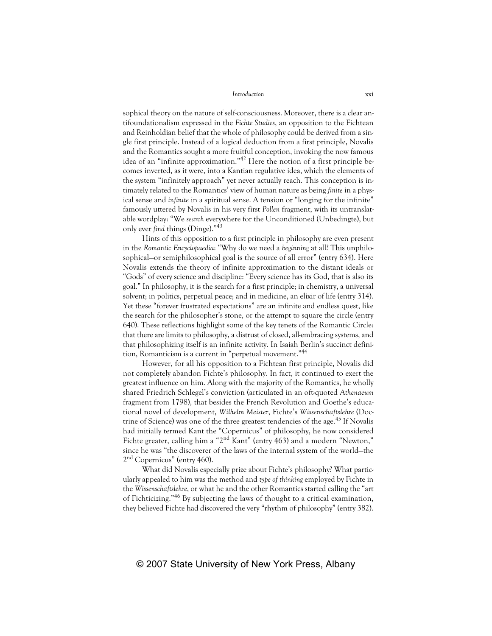sophical theory on the nature of self-consciousness. Moreover, there is a clear antifoundationalism expressed in the *Fichte Studies*, an opposition to the Fichtean and Reinholdian belief that the whole of philosophy could be derived from a single first principle. Instead of a logical deduction from a first principle, Novalis and the Romantics sought a more fruitful conception, invoking the now famous idea of an "infinite approximation."<sup>42</sup> Here the notion of a first principle becomes inverted, as it were, into a Kantian regulative idea, which the elements of the system "infinitely approach" yet never actually reach. This conception is intimately related to the Romantics' view of human nature as being *finite* in a physical sense and *infinite* in a spiritual sense. A tension or "longing for the infinite" famously uttered by Novalis in his very first *Pollen* fragment, with its untranslatable wordplay: "We *search* everywhere for the Unconditioned (Unbedingte), but only ever *find* things (Dinge)."43

Hints of this opposition to a first principle in philosophy are even present in the *Romantic Encyclopaedia*: "Why do we need a *beginning* at all? This unphilosophical—or semiphilosophical goal is the source of all error" (entry 634). Here Novalis extends the theory of infinite approximation to the distant ideals or "Gods" of every science and discipline: "Every science has its God, that is also its goal." In philosophy, it is the search for a first principle; in chemistry, a universal solvent; in politics, perpetual peace; and in medicine, an elixir of life (entry 314). Yet these "forever frustrated expectations" are an infinite and endless quest, like the search for the philosopher's stone, or the attempt to square the circle (entry 640). These reflections highlight some of the key tenets of the Romantic Circle: that there are limits to philosophy, a distrust of closed, all-embracing systems, and that philosophizing itself is an infinite activity. In Isaiah Berlin's succinct definition, Romanticism is a current in "perpetual movement."44

However, for all his opposition to a Fichtean first principle, Novalis did not completely abandon Fichte's philosophy. In fact, it continued to exert the greatest influence on him. Along with the majority of the Romantics, he wholly shared Friedrich Schlegel's conviction (articulated in an oft-quoted *Athenaeum* fragment from 1798), that besides the French Revolution and Goethe's educational novel of development, *Wilhelm Meister*, Fichte's *Wissenschaftslehre* (Doctrine of Science) was one of the three greatest tendencies of the age.<sup>45</sup> If Novalis had initially termed Kant the "Copernicus" of philosophy, he now considered Fichte greater, calling him a "2<sup>nd</sup> Kant" (entry 463) and a modern "Newton," since he was "the discoverer of the laws of the internal system of the world—the  $2<sup>nd</sup> Copernicus'' (entry 460).$ 

What did Novalis especially prize about Fichte's philosophy? What particularly appealed to him was the method and *type of thinking* employed by Fichte in the *Wissenschaftslehre*, or what he and the other Romantics started calling the "art of Fichticizing."<sup>46</sup> By subjecting the laws of thought to a critical examination, they believed Fichte had discovered the very "rhythm of philosophy" (entry 382).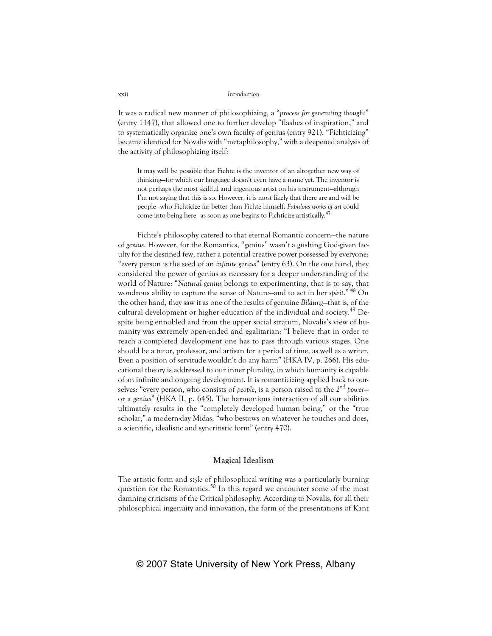#### xxii *Introduction*

It was a radical new manner of philosophizing, a "*process for generating thought*" (entry 1147), that allowed one to further develop "flashes of inspiration," and to systematically organize one's own faculty of genius (entry 921). "Fichticizing" became identical for Novalis with "metaphilosophy," with a deepened analysis of the activity of philosophizing itself:

It may well be possible that Fichte is the inventor of an altogether new way of thinking—for which our language doesn't even have a name yet. The inventor is not perhaps the most skillful and ingenious artist on his instrument—although I'm not saying that this is so. However, it is most likely that there are and will be people—who Fichticize far better than Fichte himself. *Fabulous works of art* could come into being here—as soon as one begins to Fichticize artistically.47

Fichte's philosophy catered to that eternal Romantic concern—the nature of *genius*. However, for the Romantics, "genius" wasn't a gushing God-given faculty for the destined few, rather a potential creative power possessed by everyone: "every person is the seed of an *infinite genius*" (entry 63). On the one hand, they considered the power of genius as necessary for a deeper understanding of the world of Nature: "*Natural genius* belongs to experimenting, that is to say, that wondrous ability to capture the sense of Nature—and to act in her *spirit*." <sup>48</sup> On the other hand, they saw it as one of the results of genuine *Bildung*—that is, of the cultural development or higher education of the individual and society.<sup>49</sup> Despite being ennobled and from the upper social stratum, Novalis's view of humanity was extremely open-ended and egalitarian: "I believe that in order to reach a completed development one has to pass through various stages. One should be a tutor, professor, and artisan for a period of time, as well as a writer. Even a position of servitude wouldn't do any harm" (HKA IV, p. 266). His educational theory is addressed to our inner plurality, in which humanity is capable of an infinite and ongoing development. It is romanticizing applied back to ourselves: "every person, who consists of *people*, is a person raised to the *2nd power* or a *genius*" (HKA II, p. 645). The harmonious interaction of all our abilities ultimately results in the "completely developed human being," or the "true scholar," a modern-day Midas, "who bestows on whatever he touches and does, a scientific, idealistic and syncritistic form" (entry 470).

# Magical Idealism

The artistic form and *style* of philosophical writing was a particularly burning question for the Romantics.<sup>50</sup> In this regard we encounter some of the most damning criticisms of the Critical philosophy. According to Novalis, for all their philosophical ingenuity and innovation, the form of the presentations of Kant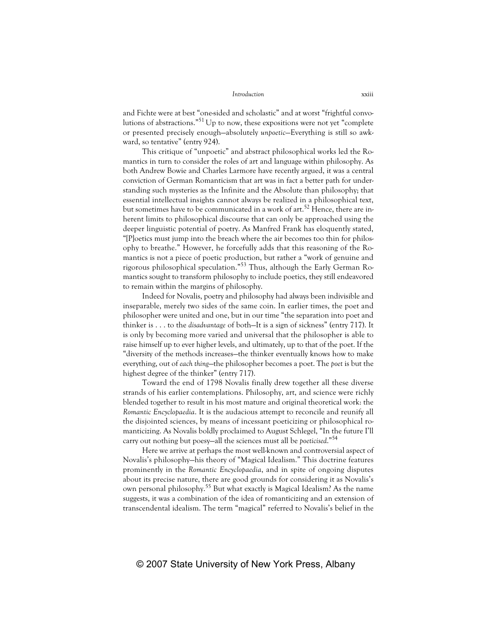and Fichte were at best "one-sided and scholastic" and at worst "frightful convolutions of abstractions."<sup>51</sup> Up to now, these expositions were not yet "complete or presented precisely enough—absolutely *unpoetic*—Everything is still so awkward, so tentative" (entry 924).

This critique of "unpoetic" and abstract philosophical works led the Romantics in turn to consider the roles of art and language within philosophy. As both Andrew Bowie and Charles Larmore have recently argued, it was a central conviction of German Romanticism that art was in fact a better path for understanding such mysteries as the Infinite and the Absolute than philosophy; that essential intellectual insights cannot always be realized in a philosophical text, but sometimes have to be communicated in a work of art.<sup>52</sup> Hence, there are inherent limits to philosophical discourse that can only be approached using the deeper linguistic potential of poetry. As Manfred Frank has eloquently stated, "[P]oetics must jump into the breach where the air becomes too thin for philosophy to breathe." However, he forcefully adds that this reasoning of the Romantics is not a piece of poetic production, but rather a "work of genuine and rigorous philosophical speculation."<sup>53</sup> Thus, although the Early German Romantics sought to transform philosophy to include poetics, they still endeavored to remain within the margins of philosophy.

Indeed for Novalis, poetry and philosophy had always been indivisible and inseparable, merely two sides of the same coin. In earlier times, the poet and philosopher were united and one, but in our time "the separation into poet and thinker is . . . to the *disadvantage* of both—It is a sign of sickness" (entry 717). It is only by becoming more varied and universal that the philosopher is able to raise himself up to ever higher levels, and ultimately, up to that of the poet. If the "diversity of the methods increases—the thinker eventually knows how to make everything, out of *each thing*—the philosopher becomes a poet. The *poet* is but the highest degree of the thinker" (entry 717).

Toward the end of 1798 Novalis finally drew together all these diverse strands of his earlier contemplations. Philosophy, art, and science were richly blended together to result in his most mature and original theoretical work: the *Romantic Encyclopaedia*. It is the audacious attempt to reconcile and reunify all the disjointed sciences, by means of incessant poeticizing or philosophical romanticizing. As Novalis boldly proclaimed to August Schlegel, "In the future I'll carry out nothing but poesy—all the sciences must all be *poeticised*."54

Here we arrive at perhaps the most well-known and controversial aspect of Novalis's philosophy—his theory of "Magical Idealism." This doctrine features prominently in the *Romantic Encyclopaedia*, and in spite of ongoing disputes about its precise nature, there are good grounds for considering it as Novalis's own personal philosophy.<sup>55</sup> But what exactly is Magical Idealism? As the name suggests, it was a combination of the idea of romanticizing and an extension of transcendental idealism. The term "magical" referred to Novalis's belief in the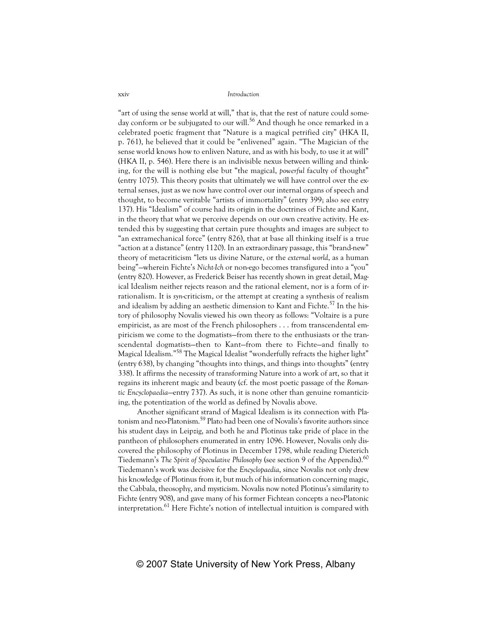"art of using the sense world at will," that is, that the rest of nature could someday conform or be subjugated to our will.<sup>56</sup> And though he once remarked in a celebrated poetic fragment that "Nature is a magical petrified city" (HKA II, p. 761), he believed that it could be "enlivened" again. "The Magician of the sense world knows how to enliven Nature, and as with his body, to use it at will" (HKA II, p. 546). Here there is an indivisible nexus between willing and thinking, for the will is nothing else but "the magical, *powerful* faculty of thought" (entry 1075). This theory posits that ultimately we will have control over the external senses, just as we now have control over our internal organs of speech and thought, to become veritable "artists of immortality" (entry 399; also see entry 137). His "Idealism" of course had its origin in the doctrines of Fichte and Kant, in the theory that what we perceive depends on our own creative activity. He extended this by suggesting that certain pure thoughts and images are subject to "an extramechanical force" (entry 826), that at base all thinking itself is a true "action at a distance" (entry 1120). In an extraordinary passage, this "brand-new" theory of metacriticism "lets us divine Nature, or the *external world*, as a human being"—wherein Fichte's *Nicht-Ich* or non-ego becomes transfigured into a "you" (entry 820). However, as Frederick Beiser has recently shown in great detail, Magical Idealism neither rejects reason and the rational element, nor is a form of irrationalism. It is *syn*-criticism, or the attempt at creating a synthesis of realism and idealism by adding an aesthetic dimension to Kant and Fichte.<sup>57</sup> In the history of philosophy Novalis viewed his own theory as follows: "Voltaire is a pure empiricist, as are most of the French philosophers . . . from transcendental empiricism we come to the dogmatists—from there to the enthusiasts or the transcendental dogmatists—then to Kant—from there to Fichte—and finally to Magical Idealism."<sup>58</sup> The Magical Idealist "wonderfully refracts the higher light" (entry 638), by changing "thoughts into things, and things into thoughts" (entry 338). It affirms the necessity of transforming Nature into a work of art, so that it regains its inherent magic and beauty (cf. the most poetic passage of the *Romantic Encyclopaedia*—entry 737). As such, it is none other than genuine romanticizing, the potentization of the world as defined by Novalis above.

Another significant strand of Magical Idealism is its connection with Platonism and neo-Platonism.<sup>59</sup> Plato had been one of Novalis's favorite authors since his student days in Leipzig, and both he and Plotinus take pride of place in the pantheon of philosophers enumerated in entry 1096. However, Novalis only discovered the philosophy of Plotinus in December 1798, while reading Dieterich Tiedemann's *The Spirit of Speculative Philosophy* (see section 9 of the Appendix).<sup>60</sup> Tiedemann's work was decisive for the *Encyclopaedia*, since Novalis not only drew his knowledge of Plotinus from it, but much of his information concerning magic, the Cabbala, theosophy, and mysticism. Novalis now noted Plotinus's similarity to Fichte (entry 908), and gave many of his former Fichtean concepts a neo-Platonic interpretation.<sup>61</sup> Here Fichte's notion of intellectual intuition is compared with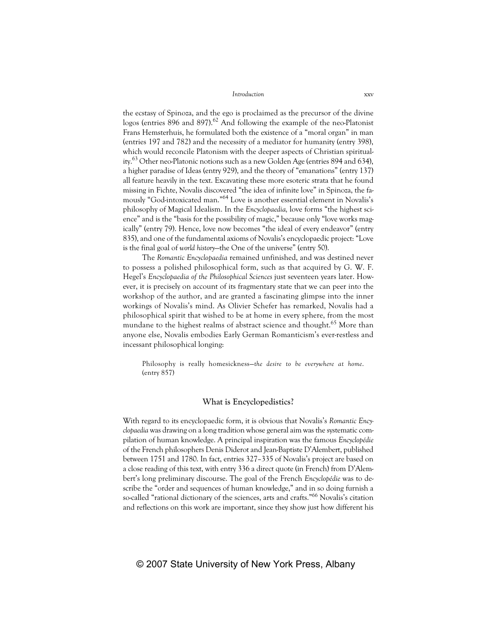#### *Introduction* xxv

the ecstasy of Spinoza, and the ego is proclaimed as the precursor of the divine logos (entries 896 and 897).<sup>62</sup> And following the example of the neo-Platonist Frans Hemsterhuis, he formulated both the existence of a "moral organ" in man (entries 197 and 782) and the necessity of a mediator for humanity (entry 398), which would reconcile Platonism with the deeper aspects of Christian spirituality.63 Other neo-Platonic notions such as a new Golden Age (entries 894 and 634), a higher paradise of Ideas (entry 929), and the theory of "emanations" (entry 137) all feature heavily in the text. Excavating these more esoteric strata that he found missing in Fichte, Novalis discovered "the idea of infinite love" in Spinoza, the famously "God-intoxicated man."<sup>64</sup> Love is another essential element in Novalis's philosophy of Magical Idealism. In the *Encyclopaedia,* love forms "the highest science" and is the "basis for the possibility of magic," because only "love works magically" (entry 79). Hence, love now becomes "the ideal of every endeavor" (entry 835), and one of the fundamental axioms of Novalis's encyclopaedic project: "Love is the final goal of *world history*—the One of the universe" (entry 50).

The *Romantic Encyclopaedia* remained unfinished, and was destined never to possess a polished philosophical form, such as that acquired by G. W. F. Hegel's *Encyclopaedia of the Philosophical Sciences* just seventeen years later. However, it is precisely on account of its fragmentary state that we can peer into the workshop of the author, and are granted a fascinating glimpse into the inner workings of Novalis's mind. As Olivier Schefer has remarked, Novalis had a philosophical spirit that wished to be at home in every sphere, from the most mundane to the highest realms of abstract science and thought.<sup>65</sup> More than anyone else, Novalis embodies Early German Romanticism's ever-restless and incessant philosophical longing:

Philosophy is really homesickness—*the desire to be everywhere at home*. (entry 857)

### What is Encyclopedistics?

With regard to its encyclopaedic form, it is obvious that Novalis's *Romantic Encyclopaedia* was drawing on a long tradition whose general aim was the systematic compilation of human knowledge. A principal inspiration was the famous *Encyclopédie* of the French philosophers Denis Diderot and Jean-Baptiste D'Alembert, published between 1751 and 1780. In fact, entries 327–335 of Novalis's project are based on a close reading of this text, with entry 336 a direct quote (in French) from D'Alembert's long preliminary discourse. The goal of the French *Encyclopédie* was to describe the "order and sequences of human knowledge," and in so doing furnish a so-called "rational dictionary of the sciences, arts and crafts."66 Novalis's citation and reflections on this work are important, since they show just how different his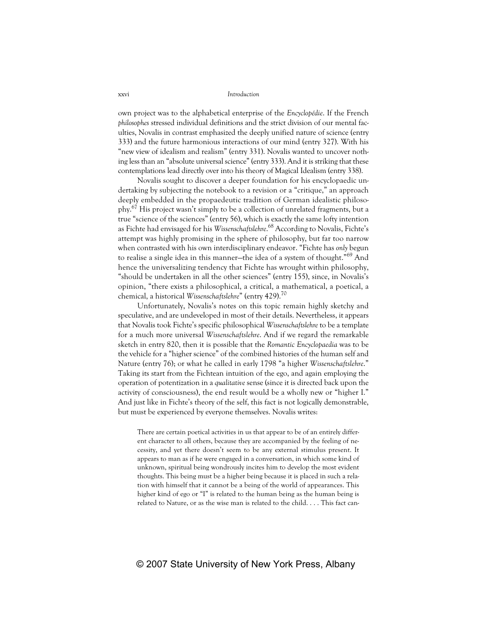#### xxvi *Introduction*

own project was to the alphabetical enterprise of the *Encyclopédie*. If the French *philosophes* stressed individual definitions and the strict division of our mental faculties, Novalis in contrast emphasized the deeply unified nature of science (entry 333) and the future harmonious interactions of our mind (entry 327). With his "new view of idealism and realism" (entry 331). Novalis wanted to uncover nothing less than an "absolute universal science" (entry 333). And it is striking that these contemplations lead directly over into his theory of Magical Idealism (entry 338).

Novalis sought to discover a deeper foundation for his encyclopaedic undertaking by subjecting the notebook to a revision or a "critique," an approach deeply embedded in the propaedeutic tradition of German idealistic philosophy.<sup>67</sup> His project wasn't simply to be a collection of unrelated fragments, but a true "science of the sciences" (entry 56), which is exactly the same lofty intention as Fichte had envisaged for his *Wissenschaftslehre*. <sup>68</sup> According to Novalis, Fichte's attempt was highly promising in the sphere of philosophy, but far too narrow when contrasted with his own interdisciplinary endeavor. "Fichte has *only* begun to realise a single idea in this manner—the idea of a system of thought."<sup>69</sup> And hence the universalizing tendency that Fichte has wrought within philosophy, "should be undertaken in all the other sciences" (entry 155), since, in Novalis's opinion, "there exists a philosophical, a critical, a mathematical, a poetical, a chemical, a historical *Wissenschaftslehre*" (entry 429).<sup>70</sup>

Unfortunately, Novalis's notes on this topic remain highly sketchy and speculative, and are undeveloped in most of their details. Nevertheless, it appears that Novalis took Fichte's specific philosophical *Wissenschaftslehre* to be a template for a much more universal *Wissenschaftslehre*. And if we regard the remarkable sketch in entry 820, then it is possible that the *Romantic Encyclopaedia* was to be the vehicle for a "higher science" of the combined histories of the human self and Nature (entry 76); or what he called in early 1798 "a higher *Wissenschaftslehre*." Taking its start from the Fichtean intuition of the ego, and again employing the operation of potentization in a *qualitative* sense (since it is directed back upon the activity of consciousness), the end result would be a wholly new or "higher I." And just like in Fichte's theory of the self, this fact is not logically demonstrable, but must be experienced by everyone themselves. Novalis writes:

There are certain poetical activities in us that appear to be of an entirely different character to all others, because they are accompanied by the feeling of necessity, and yet there doesn't seem to be any external stimulus present. It appears to man as if he were engaged in a conversation, in which some kind of unknown, spiritual being wondrously incites him to develop the most evident thoughts. This being must be a higher being because it is placed in such a relation with himself that it cannot be a being of the world of appearances. This higher kind of ego or "I" is related to the human being as the human being is related to Nature, or as the wise man is related to the child. . . . This fact can-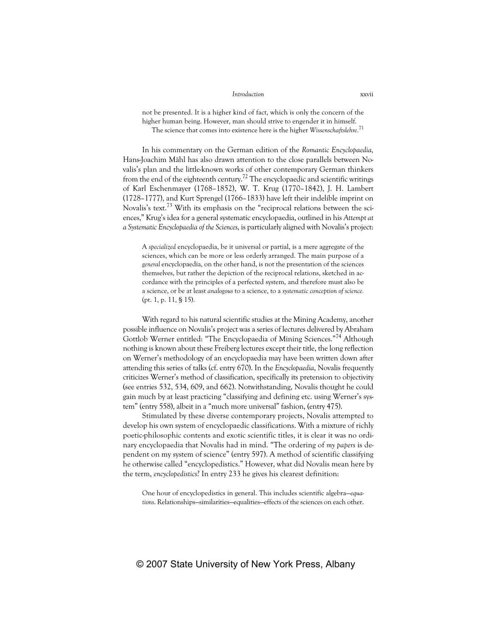#### *Introduction* xxvii

not be presented. It is a higher kind of fact, which is only the concern of the higher human being. However, man should strive to engender it in himself. The science that comes into existence here is the higher *Wissenschaftslehre*. 71

In his commentary on the German edition of the *Romantic Encyclopaedia,* Hans-Joachim Mähl has also drawn attention to the close parallels between Novalis's plan and the little-known works of other contemporary German thinkers from the end of the eighteenth century.<sup>72</sup> The encyclopaedic and scientific writings of Karl Eschenmayer (1768–1852), W. T. Krug (1770–1842), J. H. Lambert (1728–1777), and Kurt Sprengel (1766–1833) have left their indelible imprint on Novalis's text.73 With its emphasis on the "reciprocal relations between the sciences," Krug's idea for a general systematic encyclopaedia, outlined in his *Attempt at a Systematic Encyclopaedia of the Sciences*, is particularly aligned with Novalis's project:

A *specialized* encyclopaedia, be it universal or partial, is a mere aggregate of the sciences, which can be more or less orderly arranged. The main purpose of a *general* encyclopaedia, on the other hand, is not the presentation of the sciences themselves, but rather the depiction of the reciprocal relations, sketched in accordance with the principles of a perfected system, and therefore must also be a science, or be at least *analogous* to a science, to a *systematic conception of science.* (pt. 1, p. 11, § 15).

With regard to his natural scientific studies at the Mining Academy, another possible influence on Novalis's project was a series of lectures delivered by Abraham Gottlob Werner entitled: "The Encyclopaedia of Mining Sciences."74 Although nothing is known about these Freiberg lectures except their title, the long reflection on Werner's methodology of an encyclopaedia may have been written down after attending this series of talks (cf. entry 670). In the *Encyclopaedia*, Novalis frequently criticizes Werner's method of classification, specifically its pretension to objectivity (see entries 532, 534, 609, and 662). Notwithstanding, Novalis thought he could gain much by at least practicing "classifying and defining etc. using Werner's system" (entry 558), albeit in a "much more universal" fashion, (entry 475).

Stimulated by these diverse contemporary projects, Novalis attempted to develop his own system of encyclopaedic classifications. With a mixture of richly poetic-philosophic contents and exotic scientific titles, it is clear it was no ordinary encyclopaedia that Novalis had in mind. "The ordering of *my papers* is dependent on my system of science" (entry 597). A method of scientific classifying he otherwise called "encyclopedistics." However, what did Novalis mean here by the term, *encyclopedistics*? In entry 233 he gives his clearest definition:

One hour of encyclopedistics in general. This includes scientific algebra—*equations*. Relationships—similarities—equalities—effects of the sciences on each other.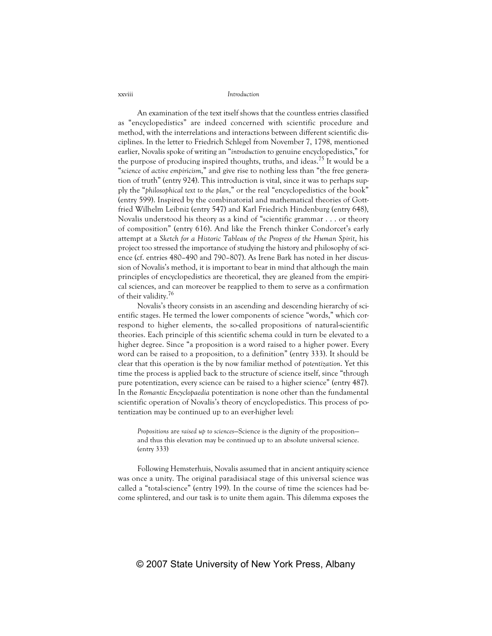#### xxviii *Introduction*

An examination of the text itself shows that the countless entries classified as "encyclopedistics" are indeed concerned with scientific procedure and method, with the interrelations and interactions between different scientific disciplines. In the letter to Friedrich Schlegel from November 7, 1798, mentioned earlier, Novalis spoke of writing an "*introduction* to genuine encyclopedistics," for the purpose of producing inspired thoughts, truths, and ideas.<sup>75</sup> It would be a "*science* of *active empiricism*," and give rise to nothing less than "the free generation of truth" (entry 924). This introduction is vital, since it was to perhaps supply the "*philosophical text to the plan*," or the real "encyclopedistics of the book" (entry 599). Inspired by the combinatorial and mathematical theories of Gottfried Wilhelm Leibniz (entry 547) and Karl Friedrich Hindenburg (entry 648), Novalis understood his theory as a kind of "scientific grammar . . . or theory of composition" (entry 616). And like the French thinker Condorcet's early attempt at a *Sketch for a Historic Tableau of the Progress of the Human Spirit*, his project too stressed the importance of studying the history and philosophy of science (cf. entries 480–490 and 790–807). As Irene Bark has noted in her discussion of Novalis's method, it is important to bear in mind that although the main principles of encyclopedistics are theoretical, they are gleaned from the empirical sciences, and can moreover be reapplied to them to serve as a confirmation of their validity.<sup>76</sup>

Novalis's theory consists in an ascending and descending hierarchy of scientific stages. He termed the lower components of science "words," which correspond to higher elements, the so-called propositions of natural-scientific theories. Each principle of this scientific schema could in turn be elevated to a higher degree. Since "a proposition is a word raised to a higher power. Every word can be raised to a proposition, to a definition" (entry 333). It should be clear that this operation is the by now familiar method of *potentization*. Yet this time the process is applied back to the structure of science itself, since "through pure potentization, every science can be raised to a higher science" (entry 487). In the *Romantic Encyclopaedia* potentization is none other than the fundamental scientific operation of Novalis's theory of encyclopedistics. This process of potentization may be continued up to an ever-higher level:

*Propositions* are *raised up to sciences*—Science is the dignity of the proposition and thus this elevation may be continued up to an absolute universal science. (entry 333)

Following Hemsterhuis, Novalis assumed that in ancient antiquity science was once a unity. The original paradisiacal stage of this universal science was called a "total-science" (entry 199). In the course of time the sciences had become splintered, and our task is to unite them again. This dilemma exposes the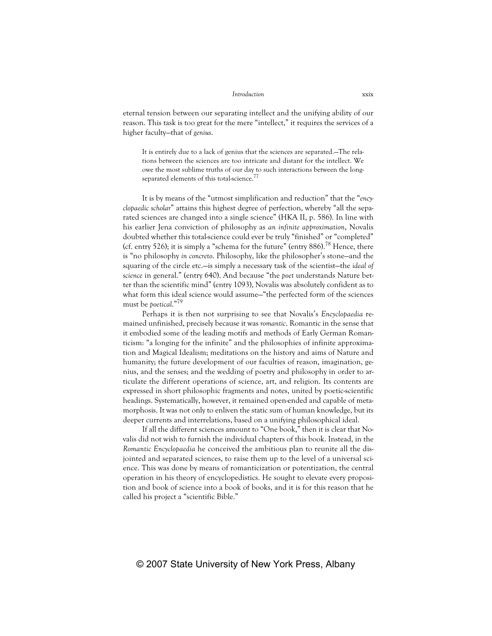#### *Introduction* xxix

eternal tension between our separating intellect and the unifying ability of our reason. This task is too great for the mere "intellect," it requires the services of a higher faculty—that of *genius*.

It is entirely due to a lack of genius that the sciences are separated.—The relations between the sciences are too intricate and distant for the intellect. We owe the most sublime truths of our day to such interactions between the longseparated elements of this total-science.<sup>77</sup>

It is by means of the "utmost simplification and reduction" that the "*encyclopaedic scholar*" attains this highest degree of perfection, whereby "all the separated sciences are changed into a single science" (HKA II, p. 586). In line with his earlier Jena conviction of philosophy as *an infinite approximation*, Novalis doubted whether this total-science could ever be truly "finished" or "completed" (cf. entry 526); it is simply a "schema for the future" (entry 886).<sup>78</sup> Hence, there is "no philosophy *in concreto*. Philosophy, like the philosopher's stone—and the squaring of the circle etc.—is simply a necessary task of the scientist—the *ideal of science* in general." (entry 640). And because "the *poet* understands Nature better than the scientific mind" (entry 1093), Novalis was absolutely confident as to what form this ideal science would assume—"the perfected form of the sciences must be *poetical*."79

Perhaps it is then not surprising to see that Novalis's *Encyclopaedia* remained unfinished, precisely because it was *romantic*. Romantic in the sense that it embodied some of the leading motifs and methods of Early German Romanticism: "a longing for the infinite" and the philosophies of infinite approximation and Magical Idealism; meditations on the history and aims of Nature and humanity; the future development of our faculties of reason, imagination, genius, and the senses; and the wedding of poetry and philosophy in order to articulate the different operations of science, art, and religion. Its contents are expressed in short philosophic fragments and notes, united by poetic-scientific headings. Systematically, however, it remained open-ended and capable of metamorphosis. It was not only to enliven the static sum of human knowledge, but its deeper currents and interrelations, based on a unifying philosophical ideal.

If all the different sciences amount to "One book," then it is clear that Novalis did not wish to furnish the individual chapters of this book. Instead, in the *Romantic Encyclopaedia* he conceived the ambitious plan to reunite all the disjointed and separated sciences, to raise them up to the level of a universal science. This was done by means of romanticization or potentization, the central operation in his theory of encyclopedistics. He sought to elevate every proposition and book of science into a book of books, and it is for this reason that he called his project a "scientific Bible."